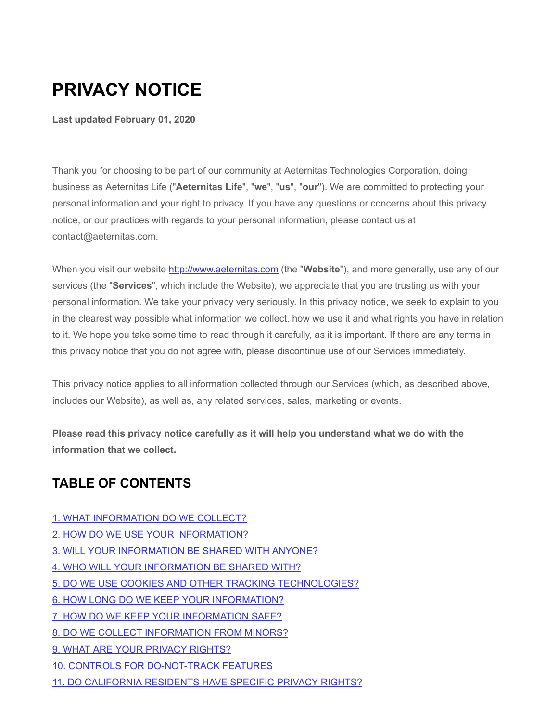# **PRIVACY NOTICE**

**Last updated February 01, 2020**

Thank you for choosing to be part of our community at Aeternitas Technologies Corporation, doing business as Aeternitas Life ("**Aeternitas Life**", "**we**", "**us**", "**our**"). We are committed to protecting your personal information and your right to privacy. If you have any questions or concerns about this privacy notice, or our practices with regards to your personal information, please contact us at contact@aeternitas.com.

When you visit our website [http://www.aeternitas.com](http://www.aeternitas.com/) (the "**Website**"), and more generally, use any of our services (the "**Services**", which include the Website), we appreciate that you are trusting us with your personal information. We take your privacy very seriously. In this privacy notice, we seek to explain to you in the clearest way possible what information we collect, how we use it and what rights you have in relation to it. We hope you take some time to read through it carefully, as it is important. If there are any terms in this privacy notice that you do not agree with, please discontinue use of our Services immediately.

This privacy notice applies to all information collected through our Services (which, as described above, includes our Website), as well as, any related services, sales, marketing or events.

**Please read this privacy notice carefully as it will help you understand what we do with the information that we collect.**

### **TABLE OF CONTENTS**

- [1. WHAT INFORMATION DO WE COLLECT?](#page-1-0)
- [2. HOW DO WE USE YOUR INFORMATION?](#page-2-0)
- [3. WILL YOUR INFORMATION BE SHARED WITH ANYONE?](#page-4-0)
- [4. WHO WILL YOUR INFORMATION BE SHARED WITH?](#page-5-0)
- [5. DO WE USE COOKIES AND OTHER TRACKING TECHNOLOGIES?](#page-7-0)
- [6. HOW LONG DO WE KEEP YOUR INFORMATION?](#page-7-1)
- [7. HOW DO WE KEEP YOUR INFORMATION SAFE?](#page-7-2)
- [8. DO WE COLLECT INFORMATION FROM MINORS?](#page-7-3)
- [9. WHAT ARE YOUR PRIVACY RIGHTS?](#page-8-0)
- [10. CONTROLS FOR DO-NOT-TRACK FEATURES](#page-9-0)
- [11. DO CALIFORNIA RESIDENTS HAVE SPECIFIC PRIVACY RIGHTS?](#page-9-1)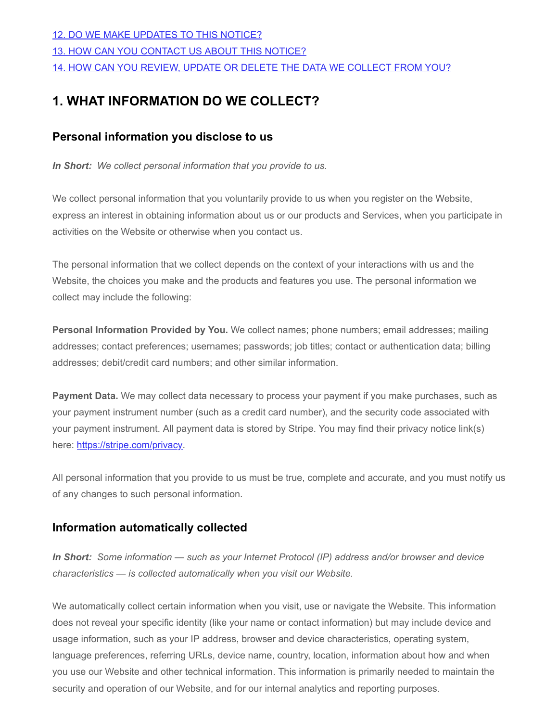#### [12. DO WE MAKE UPDATES TO THIS NOTICE?](#page-15-0)

[13. HOW CAN YOU CONTACT US ABOUT THIS NOTICE?](#page-15-1)

[14. HOW CAN YOU REVIEW, UPDATE OR DELETE THE DATA WE COLLECT FROM YOU?](#page-15-2)

# <span id="page-1-0"></span>**1. WHAT INFORMATION DO WE COLLECT?**

### **Personal information you disclose to us**

*In Short: We collect personal information that you provide to us.*

We collect personal information that you voluntarily provide to us when you register on the Website, express an interest in obtaining information about us or our products and Services, when you participate in activities on the Website or otherwise when you contact us.

The personal information that we collect depends on the context of your interactions with us and the Website, the choices you make and the products and features you use. The personal information we collect may include the following:

**Personal Information Provided by You.** We collect names; phone numbers; email addresses; mailing addresses; contact preferences; usernames; passwords; job titles; contact or authentication data; billing addresses; debit/credit card numbers; and other similar information.

**Payment Data.** We may collect data necessary to process your payment if you make purchases, such as your payment instrument number (such as a credit card number), and the security code associated with your payment instrument. All payment data is stored by Stripe. You may find their privacy notice link(s) here: [https://stripe.com/privacy.](https://stripe.com/privacy)

All personal information that you provide to us must be true, complete and accurate, and you must notify us of any changes to such personal information.

### **Information automatically collected**

*In Short: Some information — such as your Internet Protocol (IP) address and/or browser and device characteristics — is collected automatically when you visit our Website.*

We automatically collect certain information when you visit, use or navigate the Website. This information does not reveal your specific identity (like your name or contact information) but may include device and usage information, such as your IP address, browser and device characteristics, operating system, language preferences, referring URLs, device name, country, location, information about how and when you use our Website and other technical information. This information is primarily needed to maintain the security and operation of our Website, and for our internal analytics and reporting purposes.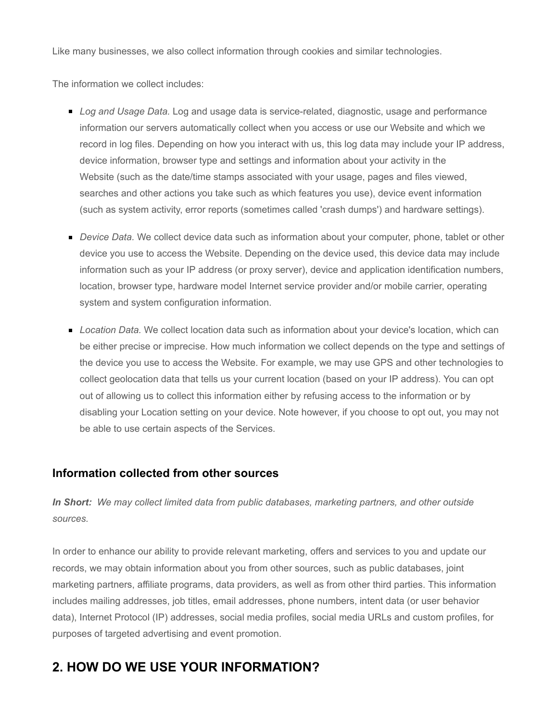Like many businesses, we also collect information through cookies and similar technologies.

The information we collect includes:

- *Log and Usage Data.* Log and usage data is service-related, diagnostic, usage and performance information our servers automatically collect when you access or use our Website and which we record in log files. Depending on how you interact with us, this log data may include your IP address, device information, browser type and settings and information about your activity in the Website (such as the date/time stamps associated with your usage, pages and files viewed, searches and other actions you take such as which features you use), device event information (such as system activity, error reports (sometimes called 'crash dumps') and hardware settings).
- **Device Data.** We collect device data such as information about your computer, phone, tablet or other device you use to access the Website. Depending on the device used, this device data may include information such as your IP address (or proxy server), device and application identification numbers, location, browser type, hardware model Internet service provider and/or mobile carrier, operating system and system configuration information.
- *Location Data.* We collect location data such as information about your device's location, which can be either precise or imprecise. How much information we collect depends on the type and settings of the device you use to access the Website. For example, we may use GPS and other technologies to collect geolocation data that tells us your current location (based on your IP address). You can opt out of allowing us to collect this information either by refusing access to the information or by disabling your Location setting on your device. Note however, if you choose to opt out, you may not be able to use certain aspects of the Services.

#### **Information collected from other sources**

*In Short: We may collect limited data from public databases, marketing partners, and other outside sources.*

In order to enhance our ability to provide relevant marketing, offers and services to you and update our records, we may obtain information about you from other sources, such as public databases, joint marketing partners, affiliate programs, data providers, as well as from other third parties. This information includes mailing addresses, job titles, email addresses, phone numbers, intent data (or user behavior data), Internet Protocol (IP) addresses, social media profiles, social media URLs and custom profiles, for purposes of targeted advertising and event promotion.

### <span id="page-2-0"></span>**2. HOW DO WE USE YOUR INFORMATION?**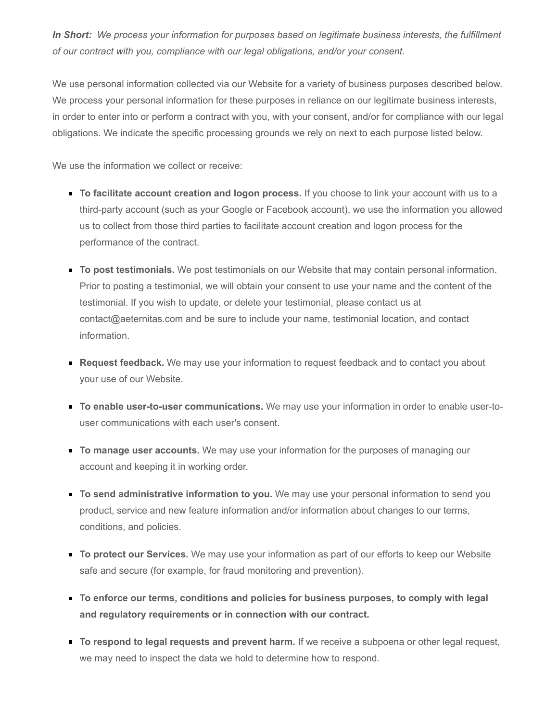*In Short: We process your information for purposes based on legitimate business interests, the fulfillment of our contract with you, compliance with our legal obligations, and/or your consent.*

We use personal information collected via our Website for a variety of business purposes described below. We process your personal information for these purposes in reliance on our legitimate business interests, in order to enter into or perform a contract with you, with your consent, and/or for compliance with our legal obligations. We indicate the specific processing grounds we rely on next to each purpose listed below.

We use the information we collect or receive:

- **To facilitate account creation and logon process.** If you choose to link your account with us to a third-party account (such as your Google or Facebook account), we use the information you allowed us to collect from those third parties to facilitate account creation and logon process for the performance of the contract.
- **To post testimonials.** We post testimonials on our Website that may contain personal information. Prior to posting a testimonial, we will obtain your consent to use your name and the content of the testimonial. If you wish to update, or delete your testimonial, please contact us at contact@aeternitas.com and be sure to include your name, testimonial location, and contact information.
- **Request feedback.** We may use your information to request feedback and to contact you about your use of our Website.
- **To enable user-to-user communications.** We may use your information in order to enable user-touser communications with each user's consent.
- **To manage user accounts.** We may use your information for the purposes of managing our account and keeping it in working order.
- **To send administrative information to you.** We may use your personal information to send you product, service and new feature information and/or information about changes to our terms, conditions, and policies.
- **To protect our Services.** We may use your information as part of our efforts to keep our Website safe and secure (for example, for fraud monitoring and prevention).
- **To enforce our terms, conditions and policies for business purposes, to comply with legal and regulatory requirements or in connection with our contract.**
- **To respond to legal requests and prevent harm.** If we receive a subpoena or other legal request, we may need to inspect the data we hold to determine how to respond.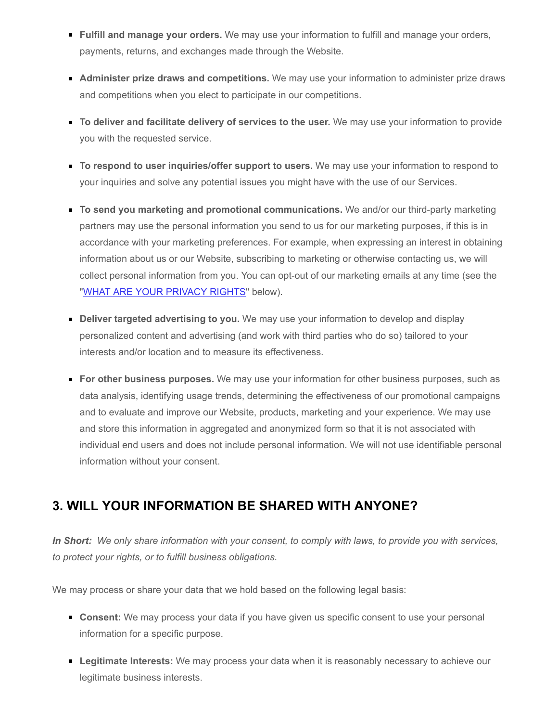- **Fulfill and manage your orders.** We may use your information to fulfill and manage your orders, payments, returns, and exchanges made through the Website.
- **Administer prize draws and competitions.** We may use your information to administer prize draws and competitions when you elect to participate in our competitions.
- **To deliver and facilitate delivery of services to the user.** We may use your information to provide you with the requested service.
- **To respond to user inquiries/offer support to users.** We may use your information to respond to your inquiries and solve any potential issues you might have with the use of our Services.
- **To send you marketing and promotional communications.** We and/or our third-party marketing partners may use the personal information you send to us for our marketing purposes, if this is in accordance with your marketing preferences. For example, when expressing an interest in obtaining information about us or our Website, subscribing to marketing or otherwise contacting us, we will collect personal information from you. You can opt-out of our marketing emails at any time (see the ["WHAT ARE YOUR PRIVACY RIGHTS"](#page-8-0) below).
- **Deliver targeted advertising to you.** We may use your information to develop and display personalized content and advertising (and work with third parties who do so) tailored to your interests and/or location and to measure its effectiveness.
- **For other business purposes.** We may use your information for other business purposes, such as data analysis, identifying usage trends, determining the effectiveness of our promotional campaigns and to evaluate and improve our Website, products, marketing and your experience. We may use and store this information in aggregated and anonymized form so that it is not associated with individual end users and does not include personal information. We will not use identifiable personal information without your consent.

### <span id="page-4-0"></span>**3. WILL YOUR INFORMATION BE SHARED WITH ANYONE?**

*In Short: We only share information with your consent, to comply with laws, to provide you with services, to protect your rights, or to fulfill business obligations.*

We may process or share your data that we hold based on the following legal basis:

- **Consent:** We may process your data if you have given us specific consent to use your personal information for a specific purpose.
- **Legitimate Interests:** We may process your data when it is reasonably necessary to achieve our legitimate business interests.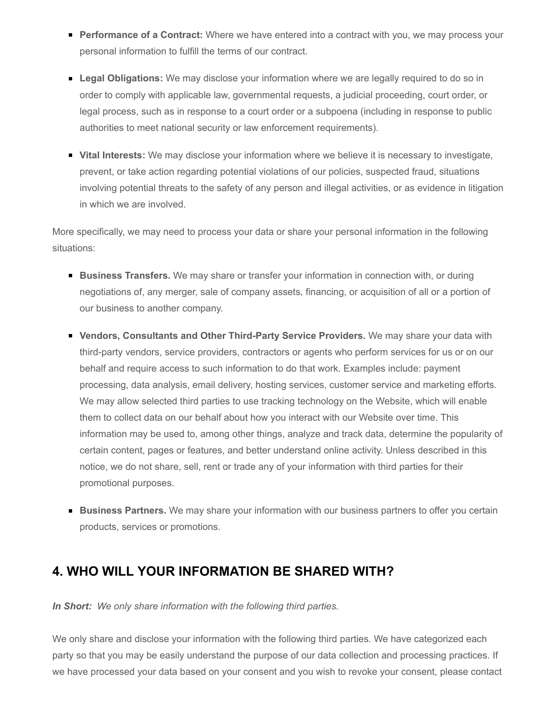- **Performance of a Contract:** Where we have entered into a contract with you, we may process your personal information to fulfill the terms of our contract.
- **Legal Obligations:** We may disclose your information where we are legally required to do so in order to comply with applicable law, governmental requests, a judicial proceeding, court order, or legal process, such as in response to a court order or a subpoena (including in response to public authorities to meet national security or law enforcement requirements).
- **Vital Interests:** We may disclose your information where we believe it is necessary to investigate, prevent, or take action regarding potential violations of our policies, suspected fraud, situations involving potential threats to the safety of any person and illegal activities, or as evidence in litigation in which we are involved.

More specifically, we may need to process your data or share your personal information in the following situations:

- **Business Transfers.** We may share or transfer your information in connection with, or during negotiations of, any merger, sale of company assets, financing, or acquisition of all or a portion of our business to another company.
- **Vendors, Consultants and Other Third-Party Service Providers.** We may share your data with third-party vendors, service providers, contractors or agents who perform services for us or on our behalf and require access to such information to do that work. Examples include: payment processing, data analysis, email delivery, hosting services, customer service and marketing efforts. We may allow selected third parties to use tracking technology on the Website, which will enable them to collect data on our behalf about how you interact with our Website over time. This information may be used to, among other things, analyze and track data, determine the popularity of certain content, pages or features, and better understand online activity. Unless described in this notice, we do not share, sell, rent or trade any of your information with third parties for their promotional purposes.
- **Business Partners.** We may share your information with our business partners to offer you certain products, services or promotions.

### <span id="page-5-0"></span>**4. WHO WILL YOUR INFORMATION BE SHARED WITH?**

*In Short: We only share information with the following third parties.*

We only share and disclose your information with the following third parties. We have categorized each party so that you may be easily understand the purpose of our data collection and processing practices. If we have processed your data based on your consent and you wish to revoke your consent, please contact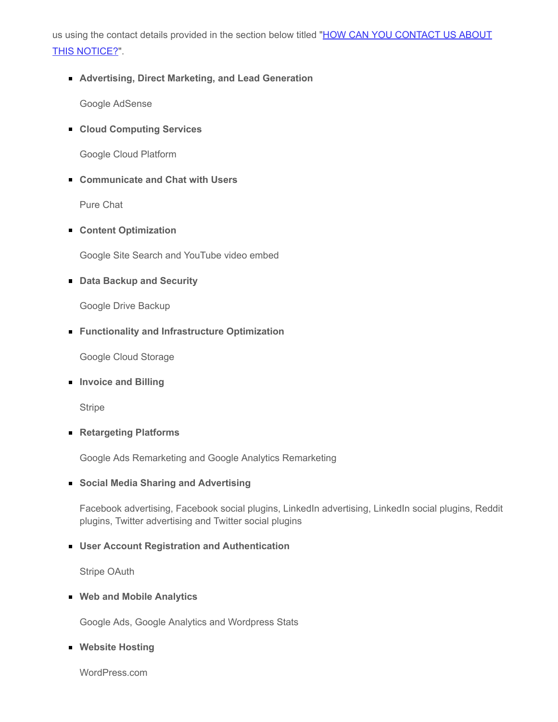[us using the contact details provided in the section below titled "HOW CAN YOU CONTACT US ABOUT](#page-15-1) THIS NOTICE?".

**Advertising, Direct Marketing, and Lead Generation**

Google AdSense

**Cloud Computing Services**

Google Cloud Platform

**Communicate and Chat with Users**

Pure Chat

**Content Optimization**

Google Site Search and YouTube video embed

**Data Backup and Security**

Google Drive Backup

**Functionality and Infrastructure Optimization**

Google Cloud Storage

**Invoice and Billing**

**Stripe** 

**Retargeting Platforms**

Google Ads Remarketing and Google Analytics Remarketing

**Social Media Sharing and Advertising**

Facebook advertising, Facebook social plugins, LinkedIn advertising, LinkedIn social plugins, Reddit plugins, Twitter advertising and Twitter social plugins

#### **User Account Registration and Authentication**

Stripe OAuth

**Web and Mobile Analytics**

Google Ads, Google Analytics and Wordpress Stats

**Website Hosting**

WordPress.com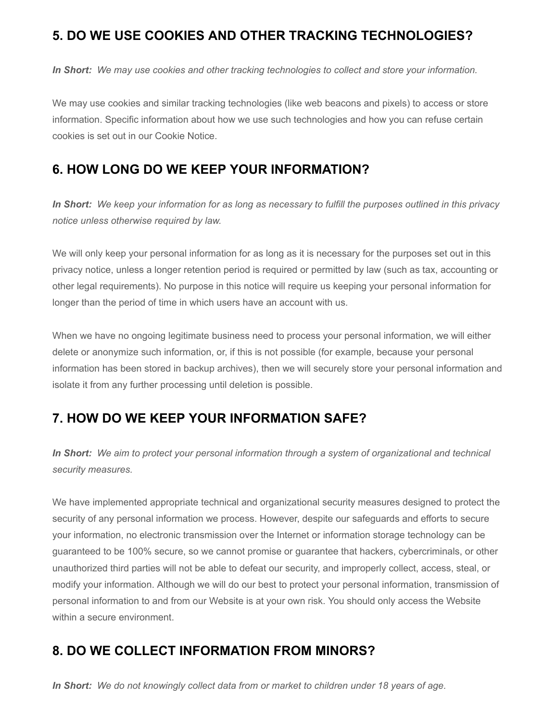### <span id="page-7-0"></span>**5. DO WE USE COOKIES AND OTHER TRACKING TECHNOLOGIES?**

*In Short: We may use cookies and other tracking technologies to collect and store your information.*

We may use cookies and similar tracking technologies (like web beacons and pixels) to access or store information. Specific information about how we use such technologies and how you can refuse certain cookies is set out in our Cookie Notice.

### <span id="page-7-1"></span>**6. HOW LONG DO WE KEEP YOUR INFORMATION?**

*In Short: We keep your information for as long as necessary to fulfill the purposes outlined in this privacy notice unless otherwise required by law.*

We will only keep your personal information for as long as it is necessary for the purposes set out in this privacy notice, unless a longer retention period is required or permitted by law (such as tax, accounting or other legal requirements). No purpose in this notice will require us keeping your personal information for longer than the period of time in which users have an account with us.

When we have no ongoing legitimate business need to process your personal information, we will either delete or anonymize such information, or, if this is not possible (for example, because your personal information has been stored in backup archives), then we will securely store your personal information and isolate it from any further processing until deletion is possible.

### <span id="page-7-2"></span>**7. HOW DO WE KEEP YOUR INFORMATION SAFE?**

*In Short: We aim to protect your personal information through a system of organizational and technical security measures.*

We have implemented appropriate technical and organizational security measures designed to protect the security of any personal information we process. However, despite our safeguards and efforts to secure your information, no electronic transmission over the Internet or information storage technology can be guaranteed to be 100% secure, so we cannot promise or guarantee that hackers, cybercriminals, or other unauthorized third parties will not be able to defeat our security, and improperly collect, access, steal, or modify your information. Although we will do our best to protect your personal information, transmission of personal information to and from our Website is at your own risk. You should only access the Website within a secure environment.

### <span id="page-7-3"></span>**8. DO WE COLLECT INFORMATION FROM MINORS?**

*In Short: We do not knowingly collect data from or market to children under 18 years of age.*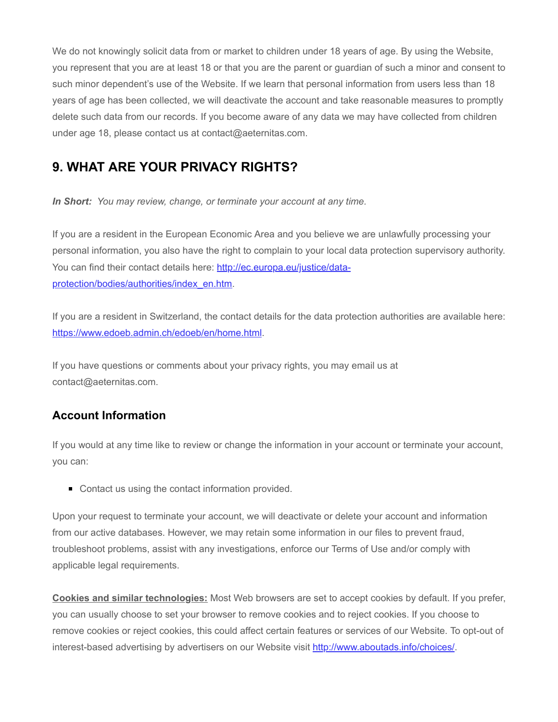We do not knowingly solicit data from or market to children under 18 years of age. By using the Website, you represent that you are at least 18 or that you are the parent or guardian of such a minor and consent to such minor dependent's use of the Website. If we learn that personal information from users less than 18 years of age has been collected, we will deactivate the account and take reasonable measures to promptly delete such data from our records. If you become aware of any data we may have collected from children under age 18, please contact us at contact@aeternitas.com.

### <span id="page-8-0"></span>**9. WHAT ARE YOUR PRIVACY RIGHTS?**

*In Short: You may review, change, or terminate your account at any time.*

If you are a resident in the European Economic Area and you believe we are unlawfully processing your personal information, you also have the right to complain to your local data protection supervisory authority. [You can find their contact details here: http://ec.europa.eu/justice/data](http://ec.europa.eu/justice/data-protection/bodies/authorities/index_en.htm)protection/bodies/authorities/index\_en.htm.

If you are a resident in Switzerland, the contact details for the data protection authorities are available here: [https://www.edoeb.admin.ch/edoeb/en/home.html.](https://www.edoeb.admin.ch/edoeb/en/home.html)

If you have questions or comments about your privacy rights, you may email us at contact@aeternitas.com.

### **Account Information**

If you would at any time like to review or change the information in your account or terminate your account, you can:

■ Contact us using the contact information provided.

Upon your request to terminate your account, we will deactivate or delete your account and information from our active databases. However, we may retain some information in our files to prevent fraud, troubleshoot problems, assist with any investigations, enforce our Terms of Use and/or comply with applicable legal requirements.

**Cookies and similar technologies:** Most Web browsers are set to accept cookies by default. If you prefer, you can usually choose to set your browser to remove cookies and to reject cookies. If you choose to remove cookies or reject cookies, this could affect certain features or services of our Website. To opt-out of interest-based advertising by advertisers on our Website visit<http://www.aboutads.info/choices/>.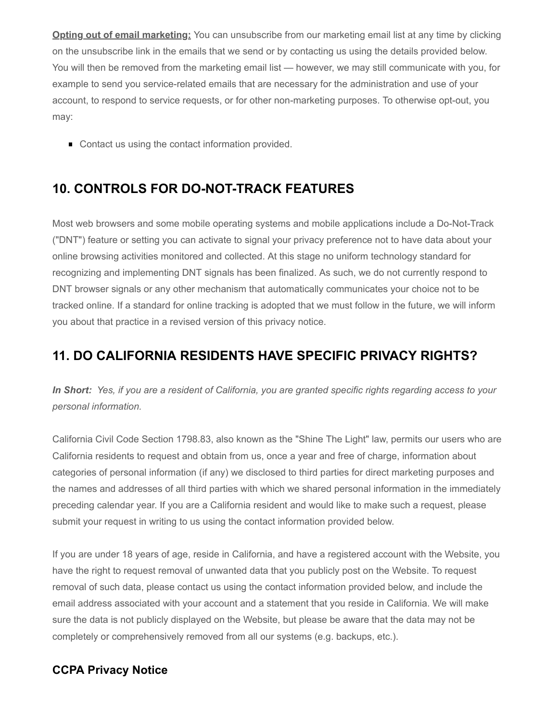**Opting out of email marketing:** You can unsubscribe from our marketing email list at any time by clicking on the unsubscribe link in the emails that we send or by contacting us using the details provided below. You will then be removed from the marketing email list — however, we may still communicate with you, for example to send you service-related emails that are necessary for the administration and use of your account, to respond to service requests, or for other non-marketing purposes. To otherwise opt-out, you may:

■ Contact us using the contact information provided.

### <span id="page-9-0"></span>**10. CONTROLS FOR DO-NOT-TRACK FEATURES**

Most web browsers and some mobile operating systems and mobile applications include a Do-Not-Track ("DNT") feature or setting you can activate to signal your privacy preference not to have data about your online browsing activities monitored and collected. At this stage no uniform technology standard for recognizing and implementing DNT signals has been finalized. As such, we do not currently respond to DNT browser signals or any other mechanism that automatically communicates your choice not to be tracked online. If a standard for online tracking is adopted that we must follow in the future, we will inform you about that practice in a revised version of this privacy notice.

### <span id="page-9-1"></span>**11. DO CALIFORNIA RESIDENTS HAVE SPECIFIC PRIVACY RIGHTS?**

*In Short: Yes, if you are a resident of California, you are granted specific rights regarding access to your personal information.*

California Civil Code Section 1798.83, also known as the "Shine The Light" law, permits our users who are California residents to request and obtain from us, once a year and free of charge, information about categories of personal information (if any) we disclosed to third parties for direct marketing purposes and the names and addresses of all third parties with which we shared personal information in the immediately preceding calendar year. If you are a California resident and would like to make such a request, please submit your request in writing to us using the contact information provided below.

If you are under 18 years of age, reside in California, and have a registered account with the Website, you have the right to request removal of unwanted data that you publicly post on the Website. To request removal of such data, please contact us using the contact information provided below, and include the email address associated with your account and a statement that you reside in California. We will make sure the data is not publicly displayed on the Website, but please be aware that the data may not be completely or comprehensively removed from all our systems (e.g. backups, etc.).

### **CCPA Privacy Notice**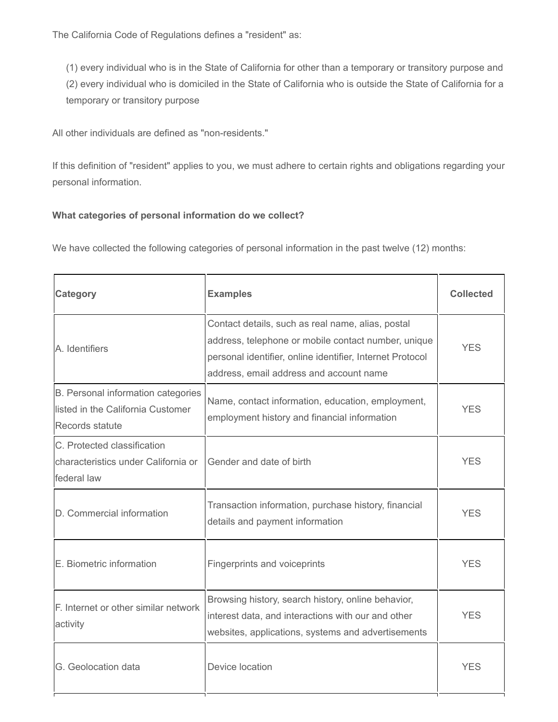The California Code of Regulations defines a "resident" as:

(1) every individual who is in the State of California for other than a temporary or transitory purpose and (2) every individual who is domiciled in the State of California who is outside the State of California for a temporary or transitory purpose

All other individuals are defined as "non-residents."

If this definition of "resident" applies to you, we must adhere to certain rights and obligations regarding your personal information.

#### **What categories of personal information do we collect?**

We have collected the following categories of personal information in the past twelve (12) months:

| Category                                                                                   | <b>Examples</b>                                                                                                                                                                                                  | <b>Collected</b> |
|--------------------------------------------------------------------------------------------|------------------------------------------------------------------------------------------------------------------------------------------------------------------------------------------------------------------|------------------|
| A. Identifiers                                                                             | Contact details, such as real name, alias, postal<br>address, telephone or mobile contact number, unique<br>personal identifier, online identifier, Internet Protocol<br>address, email address and account name | YES              |
| B. Personal information categories<br>listed in the California Customer<br>Records statute | Name, contact information, education, employment,<br>employment history and financial information                                                                                                                | <b>YES</b>       |
| C. Protected classification<br>characteristics under California or<br>federal law          | Gender and date of birth                                                                                                                                                                                         | <b>YES</b>       |
| D. Commercial information                                                                  | Transaction information, purchase history, financial<br>details and payment information                                                                                                                          | <b>YES</b>       |
| E. Biometric information                                                                   | Fingerprints and voiceprints                                                                                                                                                                                     | <b>YES</b>       |
| F. Internet or other similar network<br>activity                                           | Browsing history, search history, online behavior,<br>interest data, and interactions with our and other<br>websites, applications, systems and advertisements                                                   | <b>YFS</b>       |
| G. Geolocation data                                                                        | Device location                                                                                                                                                                                                  | <b>YFS</b>       |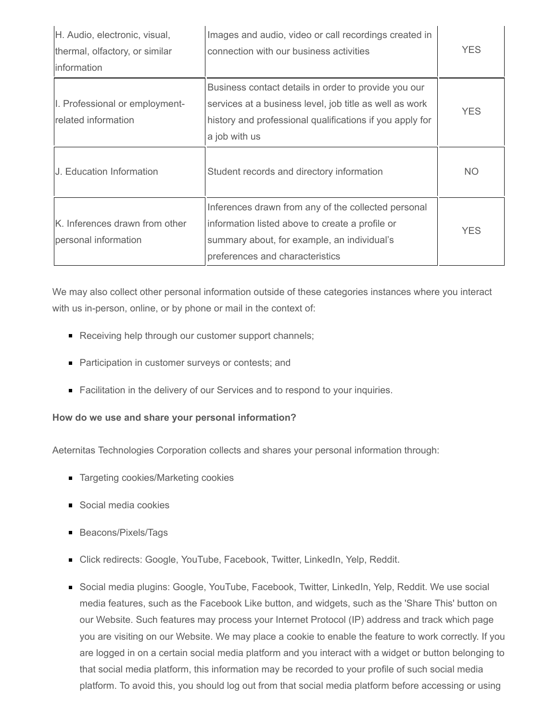| H. Audio, electronic, visual,<br>thermal, olfactory, or similar<br>information | Images and audio, video or call recordings created in<br>connection with our business activities                                                                                             | <b>YES</b> |
|--------------------------------------------------------------------------------|----------------------------------------------------------------------------------------------------------------------------------------------------------------------------------------------|------------|
| I. Professional or employment-<br>related information                          | Business contact details in order to provide you our<br>services at a business level, job title as well as work<br>history and professional qualifications if you apply for<br>a job with us | <b>YES</b> |
| U. Education Information                                                       | Student records and directory information                                                                                                                                                    | NO.        |
| IK. Inferences drawn from other<br>personal information                        | Inferences drawn from any of the collected personal<br>information listed above to create a profile or<br>summary about, for example, an individual's<br>preferences and characteristics     | <b>YES</b> |

We may also collect other personal information outside of these categories instances where you interact with us in-person, online, or by phone or mail in the context of:

- Receiving help through our customer support channels;
- **Participation in customer surveys or contests; and**
- **Facilitation in the delivery of our Services and to respond to your inquiries.**

#### **How do we use and share your personal information?**

Aeternitas Technologies Corporation collects and shares your personal information through:

- Targeting cookies/Marketing cookies
- Social media cookies
- **Beacons/Pixels/Tags**
- Click redirects: Google, YouTube, Facebook, Twitter, LinkedIn, Yelp, Reddit.
- Social media plugins: Google, YouTube, Facebook, Twitter, LinkedIn, Yelp, Reddit. We use social media features, such as the Facebook Like button, and widgets, such as the 'Share This' button on our Website. Such features may process your Internet Protocol (IP) address and track which page you are visiting on our Website. We may place a cookie to enable the feature to work correctly. If you are logged in on a certain social media platform and you interact with a widget or button belonging to that social media platform, this information may be recorded to your profile of such social media platform. To avoid this, you should log out from that social media platform before accessing or using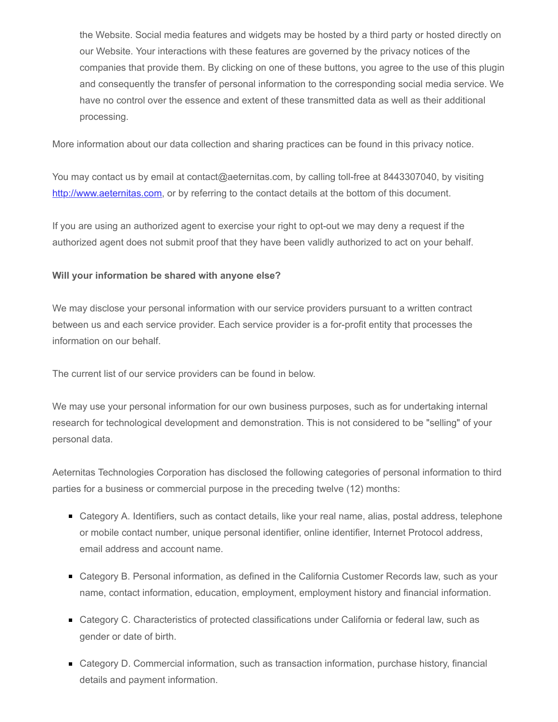the Website. Social media features and widgets may be hosted by a third party or hosted directly on our Website. Your interactions with these features are governed by the privacy notices of the companies that provide them. By clicking on one of these buttons, you agree to the use of this plugin and consequently the transfer of personal information to the corresponding social media service. We have no control over the essence and extent of these transmitted data as well as their additional processing.

More information about our data collection and sharing practices can be found in this privacy notice.

You may contact us by email at contact@aeternitas.com, by calling toll-free at 8443307040, by visiting [http://www.aeternitas.com,](http://www.aeternitas.com/) or by referring to the contact details at the bottom of this document.

If you are using an authorized agent to exercise your right to opt-out we may deny a request if the authorized agent does not submit proof that they have been validly authorized to act on your behalf.

#### **Will your information be shared with anyone else?**

We may disclose your personal information with our service providers pursuant to a written contract between us and each service provider. Each service provider is a for-profit entity that processes the information on our behalf.

The current list of our service providers can be found in below.

We may use your personal information for our own business purposes, such as for undertaking internal research for technological development and demonstration. This is not considered to be "selling" of your personal data.

Aeternitas Technologies Corporation has disclosed the following categories of personal information to third parties for a business or commercial purpose in the preceding twelve (12) months:

- Category A. Identifiers, such as contact details, like your real name, alias, postal address, telephone or mobile contact number, unique personal identifier, online identifier, Internet Protocol address, email address and account name.
- Category B. Personal information, as defined in the California Customer Records law, such as your name, contact information, education, employment, employment history and financial information.
- Category C. Characteristics of protected classifications under California or federal law, such as gender or date of birth.
- Category D. Commercial information, such as transaction information, purchase history, financial details and payment information.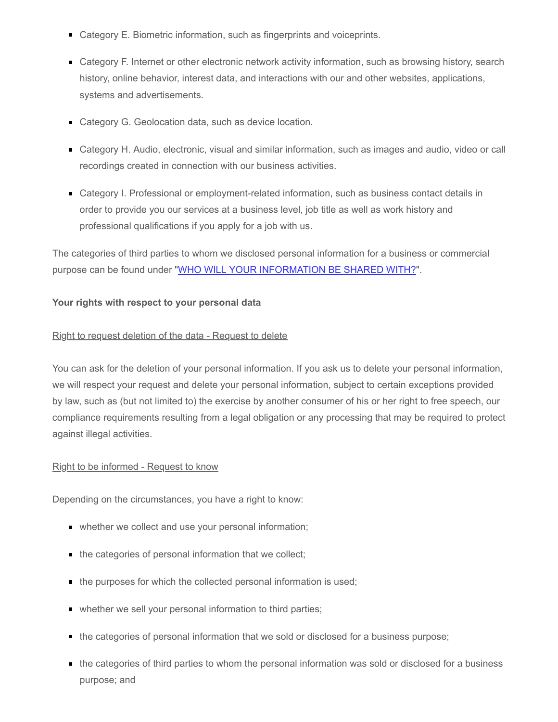- Category E. Biometric information, such as fingerprints and voiceprints.
- Category F. Internet or other electronic network activity information, such as browsing history, search history, online behavior, interest data, and interactions with our and other websites, applications, systems and advertisements.
- Category G. Geolocation data, such as device location.
- Category H. Audio, electronic, visual and similar information, such as images and audio, video or call recordings created in connection with our business activities.
- Category I. Professional or employment-related information, such as business contact details in order to provide you our services at a business level, job title as well as work history and professional qualifications if you apply for a job with us.

The categories of third parties to whom we disclosed personal information for a business or commercial purpose can be found under "[WHO WILL YOUR INFORMATION BE SHARED WITH?"](#page-5-0).

#### **Your rights with respect to your personal data**

#### Right to request deletion of the data - Request to delete

You can ask for the deletion of your personal information. If you ask us to delete your personal information, we will respect your request and delete your personal information, subject to certain exceptions provided by law, such as (but not limited to) the exercise by another consumer of his or her right to free speech, our compliance requirements resulting from a legal obligation or any processing that may be required to protect against illegal activities.

#### Right to be informed - Request to know

Depending on the circumstances, you have a right to know:

- whether we collect and use your personal information;
- the categories of personal information that we collect;
- the purposes for which the collected personal information is used;
- whether we sell your personal information to third parties;
- the categories of personal information that we sold or disclosed for a business purpose;
- the categories of third parties to whom the personal information was sold or disclosed for a business purpose; and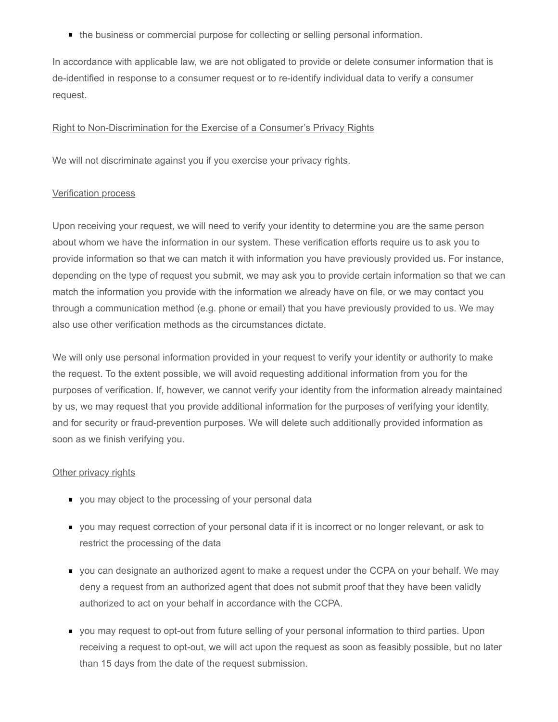the business or commercial purpose for collecting or selling personal information.

In accordance with applicable law, we are not obligated to provide or delete consumer information that is de-identified in response to a consumer request or to re-identify individual data to verify a consumer request.

#### Right to Non-Discrimination for the Exercise of a Consumer's Privacy Rights

We will not discriminate against you if you exercise your privacy rights.

#### Verification process

Upon receiving your request, we will need to verify your identity to determine you are the same person about whom we have the information in our system. These verification efforts require us to ask you to provide information so that we can match it with information you have previously provided us. For instance, depending on the type of request you submit, we may ask you to provide certain information so that we can match the information you provide with the information we already have on file, or we may contact you through a communication method (e.g. phone or email) that you have previously provided to us. We may also use other verification methods as the circumstances dictate.

We will only use personal information provided in your request to verify your identity or authority to make the request. To the extent possible, we will avoid requesting additional information from you for the purposes of verification. If, however, we cannot verify your identity from the information already maintained by us, we may request that you provide additional information for the purposes of verifying your identity, and for security or fraud-prevention purposes. We will delete such additionally provided information as soon as we finish verifying you.

#### **Other privacy rights**

- you may object to the processing of your personal data
- you may request correction of your personal data if it is incorrect or no longer relevant, or ask to restrict the processing of the data
- **vice 3** you can designate an authorized agent to make a request under the CCPA on your behalf. We may deny a request from an authorized agent that does not submit proof that they have been validly authorized to act on your behalf in accordance with the CCPA.
- you may request to opt-out from future selling of your personal information to third parties. Upon receiving a request to opt-out, we will act upon the request as soon as feasibly possible, but no later than 15 days from the date of the request submission.